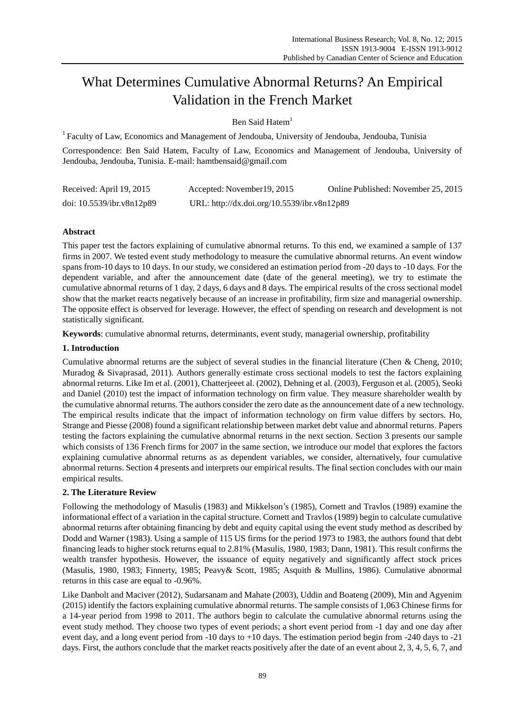# What Determines Cumulative Abnormal Returns? An Empirical Validation in the French Market

Ben Said Hatem<sup>1</sup>

<sup>1</sup> Faculty of Law, Economics and Management of Jendouba, University of Jendouba, Jendouba, Tunisia

Correspondence: Ben Said Hatem, Faculty of Law, Economics and Management of Jendouba, University of Jendouba, Jendouba, Tunisia. E-mail: hamtbensaid@gmail.com

| Received: April 19, 2015  | Accepted: November 19, 2015                 | Online Published: November 25, 2015 |
|---------------------------|---------------------------------------------|-------------------------------------|
| doi: 10.5539/ibr.v8n12p89 | URL: http://dx.doi.org/10.5539/ibr.v8n12p89 |                                     |

# **Abstract**

This paper test the factors explaining of cumulative abnormal returns. To this end, we examined a sample of 137 firms in 2007. We tested event study methodology to measure the cumulative abnormal returns. An event window spans from-10 days to 10 days. In our study, we considered an estimation period from -20 days to -10 days. For the dependent variable, and after the announcement date (date of the general meeting), we try to estimate the cumulative abnormal returns of 1 day, 2 days, 6 days and 8 days. The empirical results of the cross sectional model show that the market reacts negatively because of an increase in profitability, firm size and managerial ownership. The opposite effect is observed for leverage. However, the effect of spending on research and development is not statistically significant.

**Keywords**: cumulative abnormal returns, determinants, event study, managerial ownership, profitability

# **1. Introduction**

Cumulative abnormal returns are the subject of several studies in the financial literature (Chen & Cheng, 2010; Muradog & Sivaprasad, 2011). Authors generally estimate cross sectional models to test the factors explaining abnormal returns. Like Im et al. (2001), Chatterjeeet al. (2002), Dehning et al. (2003), Ferguson et al. (2005), Seoki and Daniel (2010) test the impact of information technology on firm value. They measure shareholder wealth by the cumulative abnormal returns. The authors consider the zero date as the announcement date of a new technology. The empirical results indicate that the impact of information technology on firm value differs by sectors. Ho, Strange and Piesse (2008) found a significant relationship between market debt value and abnormal returns. Papers testing the factors explaining the cumulative abnormal returns in the next section. Section 3 presents our sample which consists of 136 French firms for 2007 in the same section, we introduce our model that explores the factors explaining cumulative abnormal returns as as dependent variables, we consider, alternatively, four cumulative abnormal returns. Section 4 presents and interprets our empirical results. The final section concludes with our main empirical results.

# **2. The Literature Review**

Following the methodology of Masulis (1983) and Mikkelson's (1985), Cornett and Travlos (1989) examine the informational effect of a variation in the capital structure. Cornett and Travlos (1989) begin to calculate cumulative abnormal returns after obtaining financing by debt and equity capital using the event study method as described by Dodd and Warner (1983). Using a sample of 115 US firms for the period 1973 to 1983, the authors found that debt financing leads to higher stock returns equal to 2.81% (Masulis, 1980, 1983; Dann, 1981). This result confirms the wealth transfer hypothesis. However, the issuance of equity negatively and significantly affect stock prices (Masulis, 1980, 1983; Finnerty, 1985; Peavy& Scott, 1985; Asquith & Mullins, 1986). Cumulative abnormal returns in this case are equal to -0.96%.

Like Danbolt and Maciver (2012), Sudarsanam and Mahate (2003), Uddin and Boateng (2009), Min and Agyenim (2015) identify the factors explaining cumulative abnormal returns. The sample consists of 1,063 Chinese firms for a 14-year period from 1998 to 2011. The authors begin to calculate the cumulative abnormal returns using the event study method. They choose two types of event periods; a short event period from -1 day and one day after event day, and a long event period from -10 days to +10 days. The estimation period begin from -240 days to -21 days. First, the authors conclude that the market reacts positively after the date of an event about 2, 3, 4, 5, 6, 7, and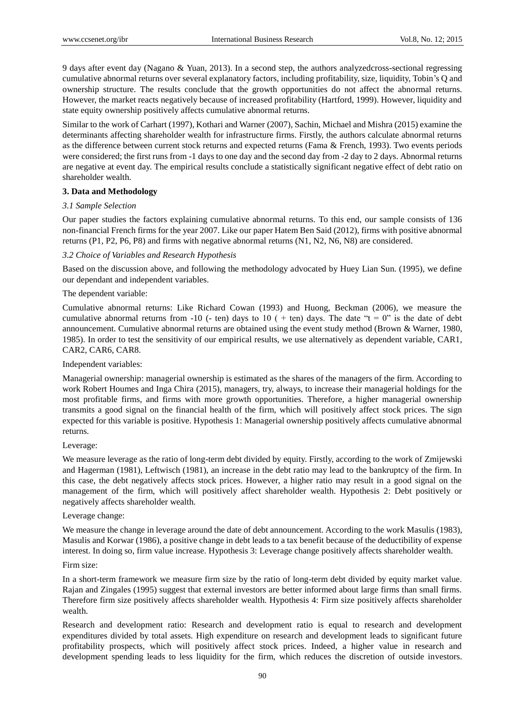9 days after event day (Nagano & Yuan, 2013). In a second step, the authors analyzedcross-sectional regressing cumulative abnormal returns over several explanatory factors, including profitability, size, liquidity, Tobin's Q and ownership structure. The results conclude that the growth opportunities do not affect the abnormal returns. However, the market reacts negatively because of increased profitability (Hartford, 1999). However, liquidity and state equity ownership positively affects cumulative abnormal returns.

Similar to the work of Carhart (1997), Kothari and Warner (2007), Sachin, Michael and Mishra (2015) examine the determinants affecting shareholder wealth for infrastructure firms. Firstly, the authors calculate abnormal returns as the difference between current stock returns and expected returns (Fama & French, 1993). Two events periods were considered; the first runs from -1 days to one day and the second day from -2 day to 2 days. Abnormal returns are negative at event day. The empirical results conclude a statistically significant negative effect of debt ratio on shareholder wealth.

## **3. Data and Methodology**

## *3.1 Sample Selection*

Our paper studies the factors explaining cumulative abnormal returns. To this end, our sample consists of 136 non-financial French firms for the year 2007. Like our paper Hatem Ben Said (2012), firms with positive abnormal returns (P1, P2, P6, P8) and firms with negative abnormal returns (N1, N2, N6, N8) are considered.

# *3.2 Choice of Variables and Research Hypothesis*

Based on the discussion above, and following the methodology advocated by Huey Lian Sun. (1995), we define our dependant and independent variables.

## The dependent variable:

Cumulative abnormal returns: Like Richard Cowan (1993) and Huong, Beckman (2006), we measure the cumulative abnormal returns from -10 (- ten) days to 10 ( + ten) days. The date "t = 0" is the date of debt announcement. Cumulative abnormal returns are obtained using the event study method (Brown & Warner, 1980, 1985). In order to test the sensitivity of our empirical results, we use alternatively as dependent variable, CAR1, CAR2, CAR6, CAR8.

# Independent variables:

Managerial ownership: managerial ownership is estimated as the shares of the managers of the firm. According to work Robert Houmes and Inga Chira (2015), managers, try, always, to increase their managerial holdings for the most profitable firms, and firms with more growth opportunities. Therefore, a higher managerial ownership transmits a good signal on the financial health of the firm, which will positively affect stock prices. The sign expected for this variable is positive. Hypothesis 1: Managerial ownership positively affects cumulative abnormal returns.

# Leverage:

We measure leverage as the ratio of long-term debt divided by equity. Firstly, according to the work of Zmijewski and Hagerman (1981), Leftwisch (1981), an increase in the debt ratio may lead to the bankruptcy of the firm. In this case, the debt negatively affects stock prices. However, a higher ratio may result in a good signal on the management of the firm, which will positively affect shareholder wealth. Hypothesis 2: Debt positively or negatively affects shareholder wealth.

#### Leverage change:

We measure the change in leverage around the date of debt announcement. According to the work Masulis (1983), Masulis and Korwar (1986), a positive change in debt leads to a tax benefit because of the deductibility of expense interest. In doing so, firm value increase. Hypothesis 3: Leverage change positively affects shareholder wealth.

# Firm size:

In a short-term framework we measure firm size by the ratio of long-term debt divided by equity market value. Rajan and Zingales (1995) suggest that external investors are better informed about large firms than small firms. Therefore firm size positively affects shareholder wealth. Hypothesis 4: Firm size positively affects shareholder wealth.

Research and development ratio: Research and development ratio is equal to research and development expenditures divided by total assets. High expenditure on research and development leads to significant future profitability prospects, which will positively affect stock prices. Indeed, a higher value in research and development spending leads to less liquidity for the firm, which reduces the discretion of outside investors.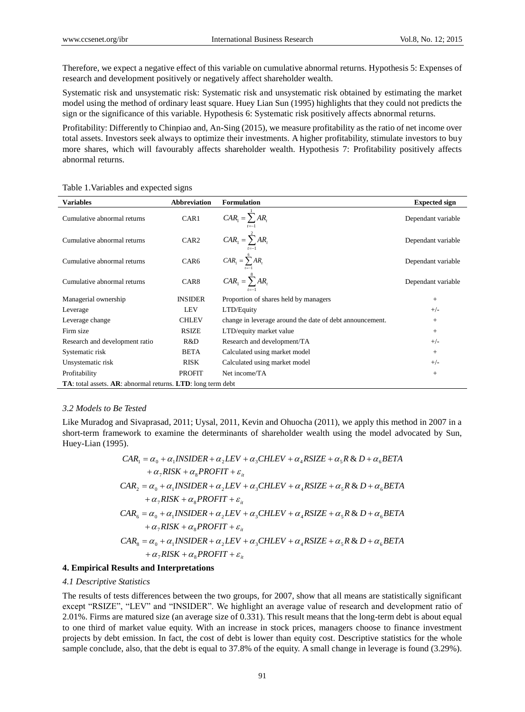Therefore, we expect a negative effect of this variable on cumulative abnormal returns. Hypothesis 5: Expenses of research and development positively or negatively affect shareholder wealth.

Systematic risk and unsystematic risk: Systematic risk and unsystematic risk obtained by estimating the market model using the method of ordinary least square. Huey Lian Sun (1995) highlights that they could not predicts the sign or the significance of this variable. Hypothesis 6: Systematic risk positively affects abnormal returns.

Profitability: Differently to Chinpiao and, An-Sing (2015), we measure profitability as the ratio of net income over total assets. Investors seek always to optimize their investments. A higher profitability, stimulate investors to buy more shares, which will favourably affects shareholder wealth. Hypothesis 7: Profitability positively affects abnormal returns.

| <b>Variables</b>                                                                    | <b>Abbreviation</b> | <b>Formulation</b>                                       | <b>Expected sign</b> |  |  |  |  |  |
|-------------------------------------------------------------------------------------|---------------------|----------------------------------------------------------|----------------------|--|--|--|--|--|
| Cumulative abnormal returns                                                         | CAR1                | $CAR_{1} = \sum_{t} AR_{t}$                              | Dependant variable   |  |  |  |  |  |
| Cumulative abnormal returns                                                         | CAR <sub>2</sub>    | $CAR_{1} = \sum_{t=1}^{2} AR_{t}$                        | Dependant variable   |  |  |  |  |  |
| Cumulative abnormal returns                                                         | CAR <sub>6</sub>    | $CAR_1 = \sum_{t=-1}^{6} AR_t$                           | Dependant variable   |  |  |  |  |  |
| Cumulative abnormal returns                                                         | CAR <sub>8</sub>    | $CAR_1 = \sum_{t=1}^{8} AR_t$                            | Dependant variable   |  |  |  |  |  |
| Managerial ownership                                                                | <b>INSIDER</b>      | Proportion of shares held by managers                    | $+$                  |  |  |  |  |  |
| Leverage                                                                            | <b>LEV</b>          | LTD/Equity                                               | $+/-$                |  |  |  |  |  |
| Leverage change                                                                     | <b>CHLEV</b>        | change in leverage around the date of debt announcement. | $+$                  |  |  |  |  |  |
| Firm size                                                                           | <b>RSIZE</b>        | LTD/equity market value                                  | $+$                  |  |  |  |  |  |
| Research and development ratio                                                      | R&D                 | Research and development/TA                              | $+/-$                |  |  |  |  |  |
| Systematic risk                                                                     | <b>BETA</b>         | Calculated using market model                            | $+$                  |  |  |  |  |  |
| Unsystematic risk                                                                   | RISK                | Calculated using market model                            | $+/-$                |  |  |  |  |  |
| Profitability                                                                       | <b>PROFIT</b>       | Net income/TA                                            | $+$                  |  |  |  |  |  |
| <b>TA</b> : total assets. <b>AR</b> : abnormal returns. <b>LTD</b> : long term debt |                     |                                                          |                      |  |  |  |  |  |

Table 1.Variables and expected signs

## *3.2 Models to Be Tested*

Like Muradog and Sivaprasad, 2011; Uysal, 2011, Kevin and Ohuocha (2011), we apply this method in 2007 in a short-term framework to examine the determinants of shareholder wealth using the model advocated by Sun, Huey-Lian (1995).

$$
CAR_{1} = \alpha_{0} + \alpha_{1}INSIDER + \alpha_{2}LEV + \alpha_{3}CHLEV + \alpha_{4}RSIZE + \alpha_{5}R \& D + \alpha_{6}BETA
$$
  
+  $\alpha_{7}RISK + \alpha_{8}PROFIT + \varepsilon_{ii}$   

$$
CAR_{2} = \alpha_{0} + \alpha_{1}INSIDER + \alpha_{2}LEV + \alpha_{3}CHLEV + \alpha_{4}RSIZE + \alpha_{5}R \& D + \alpha_{6}BETA
$$
  
+  $\alpha_{7}RISK + \alpha_{8}PROFIT + \varepsilon_{ii}$   

$$
CAR_{6} = \alpha_{0} + \alpha_{1}INSIDER + \alpha_{2}LEV + \alpha_{3}CHLEV + \alpha_{4}RSIZE + \alpha_{5}R \& D + \alpha_{6}BETA
$$
  
+  $\alpha_{7}RISK + \alpha_{8}PROFIT + \varepsilon_{ii}$   

$$
CAR_{8} = \alpha_{0} + \alpha_{1}INSIDER + \alpha_{2}LEV + \alpha_{3}CHLEV + \alpha_{4}RSIZE + \alpha_{5}R \& D + \alpha_{6}BETA
$$
  
+  $\alpha_{7}RISK + \alpha_{8}PROFIT + \varepsilon_{ii}$   
+  $\alpha_{7}RISK + \alpha_{8}PROFIT + \varepsilon_{ii}$ 

#### **4. Empirical Results and Interpretations**

#### *4.1 Descriptive Statistics*

The results of tests differences between the two groups, for 2007, show that all means are statistically significant except "RSIZE", "LEV" and "INSIDER". We highlight an average value of research and development ratio of 2.01%. Firms are matured size (an average size of 0.331). This result means that the long-term debt is about equal to one third of market value equity. With an increase in stock prices, managers choose to finance investment projects by debt emission. In fact, the cost of debt is lower than equity cost. Descriptive statistics for the whole sample conclude, also, that the debt is equal to 37.8% of the equity. A small change in leverage is found (3.29%).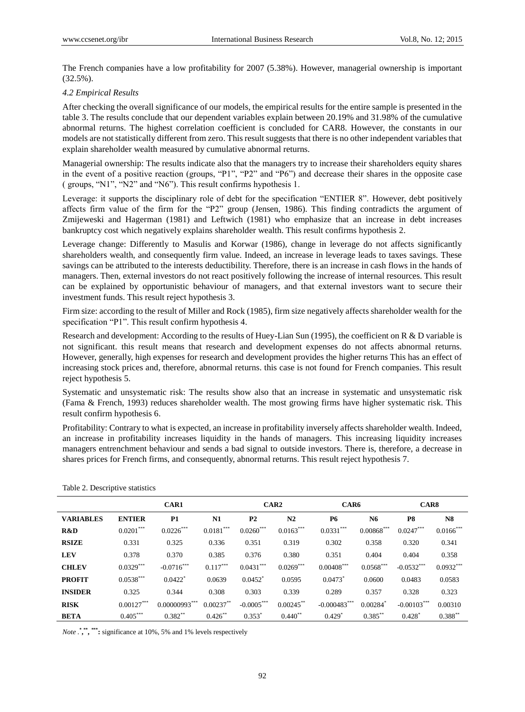The French companies have a low profitability for 2007 (5.38%). However, managerial ownership is important  $(32.5\%)$ .

## *4.2 Empirical Results*

After checking the overall significance of our models, the empirical results for the entire sample is presented in the table 3. The results conclude that our dependent variables explain between 20.19% and 31.98% of the cumulative abnormal returns. The highest correlation coefficient is concluded for CAR8. However, the constants in our models are not statistically different from zero. This result suggests that there is no other independent variables that explain shareholder wealth measured by cumulative abnormal returns.

Managerial ownership: The results indicate also that the managers try to increase their shareholders equity shares in the event of a positive reaction (groups, "P1", "P2" and "P6") and decrease their shares in the opposite case ( groups, "N1", "N2" and "N6"). This result confirms hypothesis 1.

Leverage: it supports the disciplinary role of debt for the specification "ENTIER 8". However, debt positively affects firm value of the firm for the "P2" group (Jensen, 1986). This finding contradicts the argument of Zmijeweski and Hagerman (1981) and Leftwich (1981) who emphasize that an increase in debt increases bankruptcy cost which negatively explains shareholder wealth. This result confirms hypothesis 2.

Leverage change: Differently to Masulis and Korwar (1986), change in leverage do not affects significantly shareholders wealth, and consequently firm value. Indeed, an increase in leverage leads to taxes savings. These savings can be attributed to the interests deductibility. Therefore, there is an increase in cash flows in the hands of managers. Then, external investors do not react positively following the increase of internal resources. This result can be explained by opportunistic behaviour of managers, and that external investors want to secure their investment funds. This result reject hypothesis 3.

Firm size: according to the result of Miller and Rock (1985), firm size negatively affects shareholder wealth for the specification "P1". This result confirm hypothesis 4.

Research and development: According to the results of Huey-Lian Sun (1995), the coefficient on R & D variable is not significant. this result means that research and development expenses do not affects abnormal returns. However, generally, high expenses for research and development provides the higher returns This has an effect of increasing stock prices and, therefore, abnormal returns. this case is not found for French companies. This result reject hypothesis 5.

Systematic and unsystematic risk: The results show also that an increase in systematic and unsystematic risk (Fama & French, 1993) reduces shareholder wealth. The most growing firms have higher systematic risk. This result confirm hypothesis 6.

Profitability: Contrary to what is expected, an increase in profitability inversely affects shareholder wealth. Indeed, an increase in profitability increases liquidity in the hands of managers. This increasing liquidity increases managers entrenchment behaviour and sends a bad signal to outside investors. There is, therefore, a decrease in shares prices for French firms, and consequently, abnormal returns. This result reject hypothesis 7.

|                  | CAR1                                                                                                                                                                |                 |              | CAR2                         |                | CAR6                       |              | CAR <sub>8</sub>     |              |
|------------------|---------------------------------------------------------------------------------------------------------------------------------------------------------------------|-----------------|--------------|------------------------------|----------------|----------------------------|--------------|----------------------|--------------|
| <b>VARIABLES</b> | <b>P1</b><br><b>ENTIER</b><br>$0.0201***$<br>$0.0226***$<br>0.331<br>0.325<br>0.378<br>0.370<br>$0.0329***$<br>$-0.0716***$<br>$0.0538***$<br>$0.0422$ <sup>*</sup> |                 | N1           | <b>P2</b>                    | N2             | P6                         | N6           | P8                   | N8           |
| R&D              |                                                                                                                                                                     |                 | $0.0181***$  | $0.0260***$                  | $0.0163***$    | $0.0331***$                | $0.00868***$ | $0.0247***$          | $0.0166***$  |
| <b>RSIZE</b>     |                                                                                                                                                                     |                 | 0.336        | 0.351                        | 0.302<br>0.319 |                            | 0.358        | 0.320                | 0.341        |
| <b>LEV</b>       |                                                                                                                                                                     |                 | 0.385        | 0.376                        | 0.380          | 0.351                      | 0.404        | 0.404                | 0.358        |
| <b>CHLEV</b>     |                                                                                                                                                                     |                 | $0.117***$   | $0.0431***$                  | $0.0269***$    | $0.00408***$               | $0.0568***$  | $-0.0532***$         | $0.0932***$  |
| <b>PROFIT</b>    |                                                                                                                                                                     |                 | 0.0639       | $0.0452$ <sup>*</sup>        | 0.0595         | 0.0473                     | 0.0600       | 0.0483               | 0.0583       |
| <b>INSIDER</b>   | 0.325                                                                                                                                                               | 0.344           | 0.308        | 0.303                        | 0.339          | 0.289                      | 0.357        | 0.328                | 0.323        |
| <b>RISK</b>      | $0.00127***$                                                                                                                                                        | $0.00000993***$ | $0.00237$ ** | $-0.0005***$<br>$0.00245$ ** |                | $-0.000483$ ***<br>0.00284 |              | $-0.00103***$        | 0.00310      |
| <b>BETA</b>      | $0.405***$                                                                                                                                                          | $0.382**$       | $0.426$ **   | $0.353*$                     | $0.440**$      | $0.429*$                   | $0.385***$   | $0.428$ <sup>*</sup> | $0.388^{**}$ |

Table 2. Descriptive statistics

*Note .***\* , \*\* , \*\*\*:** significance at 10%, 5% and 1% levels respectively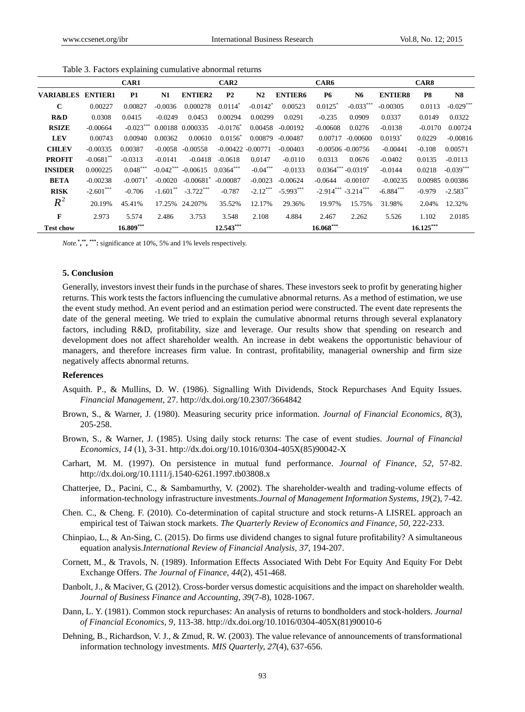|                  |                         | CAR1                  |             |                         | CAR <sub>2</sub>      |                      |                | CAR <sub>6</sub>      |                                  |                | CAR <sub>8</sub> |                        |
|------------------|-------------------------|-----------------------|-------------|-------------------------|-----------------------|----------------------|----------------|-----------------------|----------------------------------|----------------|------------------|------------------------|
| <b>VARIABLES</b> | <b>ENTIER1</b>          | <b>P1</b>             | N1          | <b>ENTIER2</b>          | P <sub>2</sub>        | N2                   | <b>ENTIER6</b> | <b>P6</b>             | N6                               | <b>ENTIER8</b> | P8               | N8                     |
| $\mathbf{C}$     | 0.00227                 | 0.00827               | $-0.0036$   | 0.000278                | $0.0114$ <sup>*</sup> | $-0.0142^*$          | 0.00523        | $0.0125$ <sup>*</sup> | $-0.033***$                      | $-0.00305$     | 0.0113           | $-0.029***$            |
| R&D              | 0.0308                  | 0.0415                | $-0.0249$   | 0.0453                  | 0.00294               | 0.00299              | 0.0291         | $-0.235$              | 0.0909                           | 0.0337         | 0.0149           | 0.0322                 |
| <b>RSIZE</b>     | $-0.00664$              | $-0.023$ <sup>*</sup> |             | 0.00188 0.000335        | $-0.0176$             | 0.00458              | $-0.00192$     | $-0.00608$            | 0.0276                           | $-0.0138$      | $-0.0170$        | 0.00724                |
| <b>LEV</b>       | 0.00743                 | 0.00940               | 0.00362     | 0.00610                 | $0.0156^{\circ}$      | 0.00879              | $-0.00487$     | 0.00717               | $-0.00600$                       | $0.0193^*$     | 0.0229           | $-0.00816$             |
| <b>CHLEV</b>     | $-0.00335$              | 0.00387               | $-0.0058$   | $-0.00558$              |                       | $-0.00422 - 0.00771$ | $-0.00403$     |                       | -0.00506 -0.00756                | $-0.00441$     | $-0.108$         | 0.00571                |
| <b>PROFIT</b>    | $-0.0681$ <sup>**</sup> | $-0.0313$             | $-0.0141$   | $-0.0418$               | $-0.0618$             | 0.0147               | $-0.0110$      | 0.0313                | 0.0676                           | $-0.0402$      | 0.0135           | $-0.0113$              |
| <b>INSIDER</b>   | 0.000225                | $0.048***$            | $-0.042***$ | $-0.00615$              | $0.0364***$           | $-0.04***$           | $-0.0133$      |                       | $0.0364***$ -0.0319 <sup>*</sup> | $-0.0144$      | 0.0218           | $-0.039***$            |
| <b>BETA</b>      | $-0.00238$              | $-0.0071$             | $-0.0020$   | $-0.00681$ <sup>*</sup> | $-0.00087$            | $-0.0023$            | $-0.00624$     | $-0.0644$             | $-0.00107$                       | $-0.00235$     | 0.00985          | 0.00386                |
| <b>RISK</b>      | $-2.601***$             | $-0.706$              | $-1.601$    | $-3.722***$             | $-0.787$              | $-2.12^*$            | $-5.993***$    |                       | $-2.914***$ $-3.214***$          | $-6.884***$    | $-0.979$         | $-2.583$ <sup>**</sup> |
| $R^2$            | 20.19%                  | 45.41%                | 17.25%      | 24.207%                 | 35.52%                | 12.17%               | 29.36%         | 19.97%                | 15.75%                           | 31.98%         | 2.04%            | 12.32%                 |
| F                | 2.973                   | 5.574                 | 2.486       | 3.753                   | 3.548                 | 2.108                | 4.884          | 2.467                 | 2.262                            | 5.526          | 1.102            | 2.0185                 |
| <b>Test chow</b> |                         | $16.809***$           |             |                         | $12.543***$           |                      |                | 16.068***             |                                  |                | $16.125***$      |                        |

*Note.***\* , \*\* , \*\*\*:** significance at 10%, 5% and 1% levels respectively.

# **5. Conclusion**

Generally, investors invest their funds in the purchase of shares. These investors seek to profit by generating higher returns. This work tests the factors influencing the cumulative abnormal returns. As a method of estimation, we use the event study method. An event period and an estimation period were constructed. The event date represents the date of the general meeting. We tried to explain the cumulative abnormal returns through several explanatory factors, including R&D, profitability, size and leverage. Our results show that spending on research and development does not affect shareholder wealth. An increase in debt weakens the opportunistic behaviour of managers, and therefore increases firm value. In contrast, profitability, managerial ownership and firm size negatively affects abnormal returns.

## **References**

- Asquith. P., & Mullins, D. W. (1986). Signalling With Dividends, Stock Repurchases And Equity Issues. *Financial Management,* 27[. http://dx.doi.org/10.2307/3664842](http://dx.doi.org/10.2307/3664842)
- Brown, S., & Warner, J. (1980). Measuring security price information. *Journal of Financial Economics, 8*(3), 205-258.
- Brown, S., & Warner, J. (1985). Using daily stock returns: The case of event studies. *Journal of Financial Economics, 14* (1), 3-31. [http://dx.doi.org/10.1016/0304-405X\(85\)90042-X](http://dx.doi.org/10.1016/0304-405X(85)90042-X)
- Carhart, M. M. (1997). On persistence in mutual fund performance. *Journal of Finance, 52*, 57-82. <http://dx.doi.org/10.1111/j.1540-6261.1997.tb03808.x>
- Chatterjee, D., Pacini, C., & Sambamurthy, V. (2002). The shareholder-wealth and trading-volume effects of information-technology infrastructure investments.*Journal of Management Information Systems, 19*(2), 7-42.
- Chen. C., & Cheng. F. (2010). Co-determination of capital structure and stock returns-A LISREL approach an empirical test of Taiwan stock markets. *The Quarterly Review of Economics and Finance, 50*, 222-233.
- Chinpiao, L., & An-Sing, C. (2015). Do firms use dividend changes to signal future profitability? A simultaneous equation analysis.*International Review of Financial Analysis, 37*, 194-207.
- Cornett, M., & Travols, N. (1989). Information Effects Associated With Debt For Equity And Equity For Debt Exchange Offers. *The Journal of Finance, 44*(2), 451-468.
- Danbolt, J., & Maciver, G. (2012). Cross-border versus domestic acquisitions and the impact on shareholder wealth. *Journal of Business Finance and Accounting, 39*(7-8), 1028-1067.
- Dann, L. Y. (1981). Common stock repurchases: An analysis of returns to bondholders and stock-holders. *Journal of Financial Economics, 9*, 113-38. [http://dx.doi.org/10.1016/0304-405X\(81\)90010-6](http://dx.doi.org/10.1016/0304-405X(81)90010-6)
- Dehning, B., Richardson, V. J., & Zmud, R. W. (2003). The value relevance of announcements of transformational information technology investments. *MIS Quarterly, 27*(4), 637-656.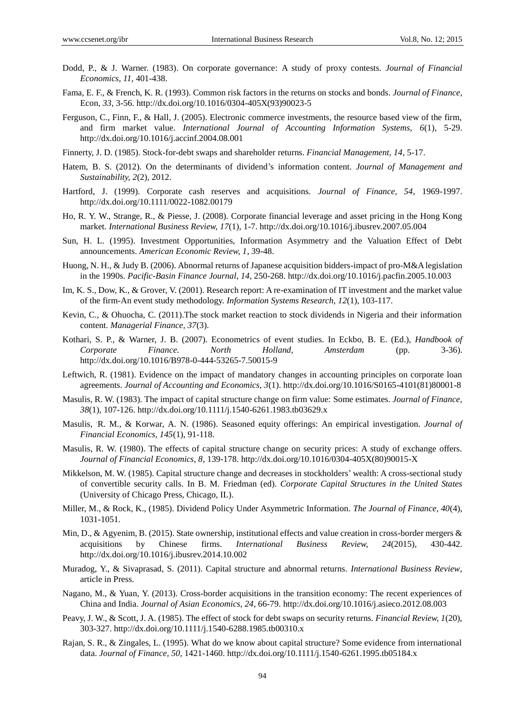- Dodd, P., & J. Warner. (1983). On corporate governance: A study of proxy contests. *Journal of Financial Economics, 11*, 401-438.
- Fama, E. F., & French, K. R. (1993). Common risk factors in the returns on stocks and bonds. *Journal of Finance*, Econ*, 33*, 3-56. [http://dx.doi.org/10.1016/0304-405X\(93\)90023-5](http://dx.doi.org/10.1016/0304-405X(93)90023-5)
- Ferguson, C., Finn, F., & Hall, J. (2005). Electronic commerce investments, the resource based view of the firm, and firm market value. *International Journal of Accounting Information Systems, 6*(1), 5-29. <http://dx.doi.org/10.1016/j.accinf.2004.08.001>
- Finnerty, J. D. (1985). Stock-for-debt swaps and shareholder returns. *Financial Management, 14*, 5-17.
- Hatem, B. S. (2012). On the determinants of dividend's information content. *Journal of Management and Sustainability, 2*(2), 2012.
- Hartford, J. (1999). Corporate cash reserves and acquisitions. *Journal of Finance, 54*, 1969-1997. <http://dx.doi.org/10.1111/0022-1082.00179>
- Ho, R. Y. W., Strange, R., & Piesse, J. (2008). Corporate financial leverage and asset pricing in the Hong Kong market. *International Business Review, 17*(1), 1-7. <http://dx.doi.org/10.1016/j.ibusrev.2007.05.004>
- Sun, H. L. (1995). Investment Opportunities, Information Asymmetry and the Valuation Effect of Debt announcements. *American Economic Review, 1*, 39-48.
- Huong, N. H., & Judy B. (2006). Abnormal returns of Japanese acquisition bidders-impact of pro-M&A legislation in the 1990s. *Pacific-Basin Finance Journal*, *14*, 250-268[. http://dx.doi.org/10.1016/j.pacfin.2005.10.003](http://dx.doi.org/10.1016/j.pacfin.2005.10.003)
- Im, K. S., Dow, K., & Grover, V. (2001). Research report: A re-examination of IT investment and the market value of the firm-An event study methodology. *Information Systems Research, 12*(1), 103-117.
- Kevin, C., & Ohuocha, C. (2011).The stock market reaction to stock dividends in Nigeria and their information content. *Managerial Finance, 37*(3).
- Kothari, S. P., & Warner, J. B. (2007). Econometrics of event studies. In Eckbo, B. E. (Ed.), *Handbook of Corporate Finance. North Holland, Amsterdam* (pp. 3-36). <http://dx.doi.org/10.1016/B978-0-444-53265-7.50015-9>
- Leftwich, R. (1981). Evidence on the impact of mandatory changes in accounting principles on corporate loan agreements. *Journal of Accounting and Economics, 3*(1). [http://dx.doi.org/10.1016/S0165-4101\(81\)80001-8](http://dx.doi.org/10.1016/S0165-4101(81)80001-8)
- Masulis, R. W. (1983). The impact of capital structure change on firm value: Some estimates. *Journal of Finance*, *38*(1), 107-126.<http://dx.doi.org/10.1111/j.1540-6261.1983.tb03629.x>
- Masulis, R. M., & Korwar, A. N. (1986). Seasoned equity offerings: An empirical investigation. *Journal of Financial Economics, 145*(1), 91-118.
- Masulis, R. W. (1980). The effects of capital structure change on security prices: A study of exchange offers. *Journal of Financial Economics, 8*, 139-178[. http://dx.doi.org/10.1016/0304-405X\(80\)90015-X](http://dx.doi.org/10.1016/0304-405X(80)90015-X)
- Mikkelson, M. W. (1985). Capital structure change and decreases in stockholders' wealth: A cross-sectional study of convertible security calls. In B. M. Friedman (ed). *Corporate Capital Structures in the United States* (University of Chicago Press, Chicago, IL).
- Miller, M., & Rock, K., (1985). Dividend Policy Under Asymmetric Information. *The Journal of Finance, 40*(4), 1031-1051.
- Min, D., & Agyenim, B. (2015). State ownership, institutional effects and value creation in cross-border mergers & acquisitions by Chinese firms. *International Business Review, 24*(2015), 430-442. <http://dx.doi.org/10.1016/j.ibusrev.2014.10.002>
- Muradog, Y., & Sivaprasad, S. (2011). Capital structure and abnormal returns. *International Business Review*, article in Press.
- Nagano, M., & Yuan, Y. (2013). Cross-border acquisitions in the transition economy: The recent experiences of China and India. *Journal of Asian Economics, 24*, 66-79.<http://dx.doi.org/10.1016/j.asieco.2012.08.003>
- Peavy, J. W., & Scott, J. A. (1985). The effect of stock for debt swaps on security returns. *Financial Review, 1*(20), 303-327.<http://dx.doi.org/10.1111/j.1540-6288.1985.tb00310.x>
- Rajan, S. R., & Zingales, L. (1995). What do we know about capital structure? Some evidence from international data. *Journal of Finance, 50*, 1421-1460[. http://dx.doi.org/10.1111/j.1540-6261.1995.tb05184.x](http://dx.doi.org/10.1111/j.1540-6261.1995.tb05184.x)